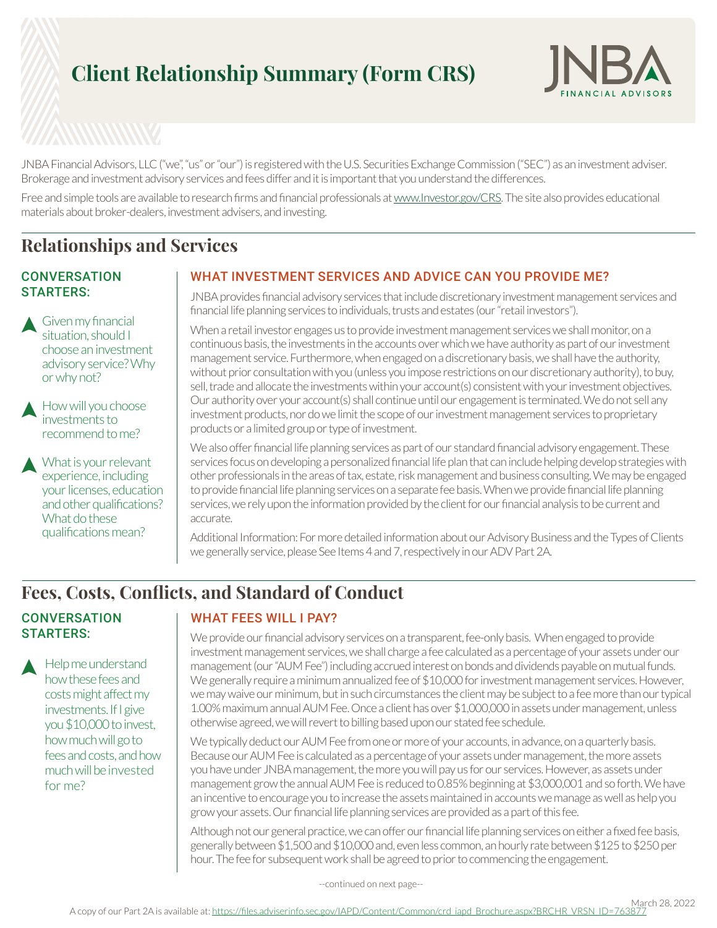# **Client Relationship Summary (Form CRS)**



JNBA Financial Advisors, LLC ("we", "us" or "our") is registered with the U.S. Securities Exchange Commission ("SEC") as an investment adviser. Brokerage and investment advisory services and fees differ and it is important that you understand the differences.

Free and simple tools are available to research firms and financial professionals at www.Investor.gov/CRS. The site also provides educational materials about broker-dealers, investment advisers, and investing.

### **Relationships and Services**

#### **CONVERSATION** STARTERS:

Given my financial situation, should I choose an investment advisory service? Why or why not?

How will you choose investments to recommend to me?

What is your relevant experience, including your licenses, education and other qualifications? What do these qualifications mean?

### WHAT INVESTMENT SERVICES AND ADVICE CAN YOU PROVIDE ME?

JNBA provides financial advisory services that include discretionary investment management services and financial life planning services to individuals, trusts and estates (our "retail investors").

When a retail investor engages us to provide investment management services we shall monitor, on a continuous basis, the investments in the accounts over which we have authority as part of our investment management service. Furthermore, when engaged on a discretionary basis, we shall have the authority, without prior consultation with you (unless you impose restrictions on our discretionary authority), to buy, sell, trade and allocate the investments within your account(s) consistent with your investment objectives. Our authority over your account(s) shall continue until our engagement is terminated. We do not sell any investment products, nor do we limit the scope of our investment management services to proprietary products or a limited group or type of investment.

We also offer financial life planning services as part of our standard financial advisory engagement. These services focus on developing a personalized financial life plan that can include helping develop strategies with other professionals in the areas of tax, estate, risk management and business consulting. We may be engaged to provide financial life planning services on a separate fee basis. When we provide financial life planning services, we rely upon the information provided by the client for our financial analysis to be current and accurate.

Additional Information: For more detailed information about our Advisory Business and the Types of Clients we generally service, please See Items 4 and 7, respectively in our ADV Part 2A.

### **Fees, Costs, Conflicts, and Standard of Conduct**

### **CONVERSATION** STARTERS:

Help me understand how these fees and costs might affect my investments. If I give you \$10,000 to invest, how much will go to fees and costs, and how much will be invested for me?

### WHAT FEES WILL I PAY?

We provide our financial advisory services on a transparent, fee-only basis. When engaged to provide investment management services, we shall charge a fee calculated as a percentage of your assets under our management (our "AUM Fee") including accrued interest on bonds and dividends payable on mutual funds. We generally require a minimum annualized fee of \$10,000 for investment management services. However, we may waive our minimum, but in such circumstances the client may be subject to a fee more than our typical 1.00% maximum annual AUM Fee. Once a client has over \$1,000,000 in assets under management, unless otherwise agreed, we will revert to billing based upon our stated fee schedule.

We typically deduct our AUM Fee from one or more of your accounts, in advance, on a quarterly basis. Because our AUM Fee is calculated as a percentage of your assets under management, the more assets you have under JNBA management, the more you will pay us for our services. However, as assets under management grow the annual AUM Fee is reduced to 0.85% beginning at \$3,000,001 and so forth. We have an incentive to encourage you to increase the assets maintained in accounts we manage as well as help you grow your assets. Our financial life planning services are provided as a part of this fee.

Although not our general practice, we can offer our financial life planning services on either a fixed fee basis, generally between \$1,500 and \$10,000 and, even less common, an hourly rate between \$125 to \$250 per hour. The fee for subsequent work shall be agreed to prior to commencing the engagement.

--continued on next page--